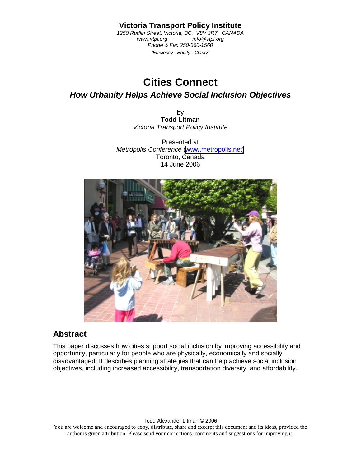#### **Victoria Transport Policy Institute**

*1250 Rudlin Street, Victoria, BC, V8V 3R7, CANADA www.vtpi.org Phone & Fax 250-360-1560 "Efficiency - Equity - Clarity"* 

# **Cities Connect**

### *How Urbanity Helps Achieve Social Inclusion Objectives*

by **Todd Litman**  *Victoria Transport Policy Institute* 

Presented at *Metropolis Conference* ([www.metropolis.net\)](http://www.metropolis.net/) Toronto, Canada 14 June 2006



## **Abstract**

This paper discusses how cities support social inclusion by improving accessibility and opportunity, particularly for people who are physically, economically and socially disadvantaged. It describes planning strategies that can help achieve social inclusion objectives, including increased accessibility, transportation diversity, and affordability.

Todd Alexander Litman © 2006

You are welcome and encouraged to copy, distribute, share and excerpt this document and its ideas, provided the author is given attribution. Please send your corrections, comments and suggestions for improving it.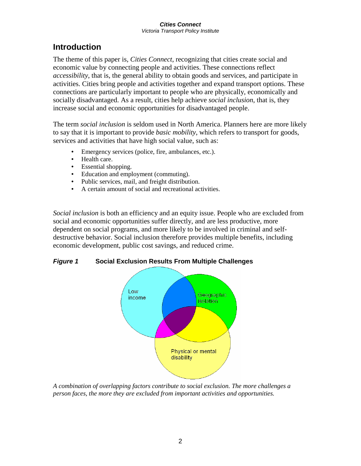#### *Cities Connect Victoria Transport Policy Institute*

## **Introduction**

The theme of this paper is, *Cities Connect*, recognizing that cities create social and economic value by connecting people and activities. These connections reflect *accessibility*, that is, the general ability to obtain goods and services, and participate in activities. Cities bring people and activities together and expand transport options. These connections are particularly important to people who are physically, economically and socially disadvantaged. As a result, cities help achieve *social inclusion*, that is, they increase social and economic opportunities for disadvantaged people.

The term *social inclusion* is seldom used in North America. Planners here are more likely to say that it is important to provide *basic mobility*, which refers to transport for goods, services and activities that have high social value, such as:

- Emergency services (police, fire, ambulances, etc.).
- Health care.
- Essential shopping.
- Education and employment (commuting).
- Public services, mail, and freight distribution.
- A certain amount of social and recreational activities.

*Social inclusion* is both an efficiency and an equity issue. People who are excluded from social and economic opportunities suffer directly, and are less productive, more dependent on social programs, and more likely to be involved in criminal and selfdestructive behavior. Social inclusion therefore provides multiple benefits, including economic development, public cost savings, and reduced crime.

*Figure 1* **Social Exclusion Results From Multiple Challenges** 



*A combination of overlapping factors contribute to social exclusion. The more challenges a person faces, the more they are excluded from important activities and opportunities.*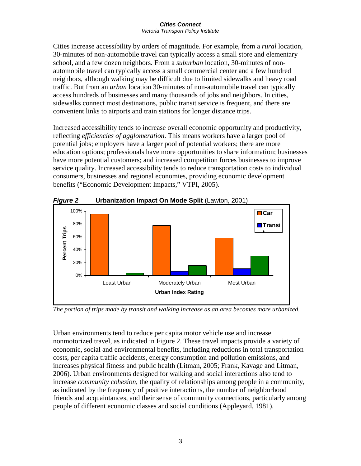#### *Cities Connect Victoria Transport Policy Institute*

Cities increase accessibility by orders of magnitude. For example, from a *rural* location, 30-minutes of non-automobile travel can typically access a small store and elementary school, and a few dozen neighbors. From a *suburban* location, 30-minutes of nonautomobile travel can typically access a small commercial center and a few hundred neighbors, although walking may be difficult due to limited sidewalks and heavy road traffic. But from an *urban* location 30-minutes of non-automobile travel can typically access hundreds of businesses and many thousands of jobs and neighbors. In cities, sidewalks connect most destinations, public transit service is frequent, and there are convenient links to airports and train stations for longer distance trips.

Increased accessibility tends to increase overall economic opportunity and productivity, reflecting *efficiencies of agglomeration*. This means workers have a larger pool of potential jobs; employers have a larger pool of potential workers; there are more education options; professionals have more opportunities to share information; businesses have more potential customers; and increased competition forces businesses to improve service quality. Increased accessibility tends to reduce transportation costs to individual consumers, businesses and regional economies, providing economic development benefits ("Economic Development Impacts," VTPI, 2005).



*The portion of trips made by transit and walking increase as an area becomes more urbanized.* 

Urban environments tend to reduce per capita motor vehicle use and increase nonmotorized travel, as indicated in Figure 2. These travel impacts provide a variety of economic, social and environmental benefits, including reductions in total transportation costs, per capita traffic accidents, energy consumption and pollution emissions, and increases physical fitness and public health (Litman, 2005; Frank, Kavage and Litman, 2006). Urban environments designed for walking and social interactions also tend to increase *community cohesion*, the quality of relationships among people in a community, as indicated by the frequency of positive interactions, the number of neighborhood friends and acquaintances, and their sense of community connections, particularly among people of different economic classes and social conditions (Appleyard, 1981).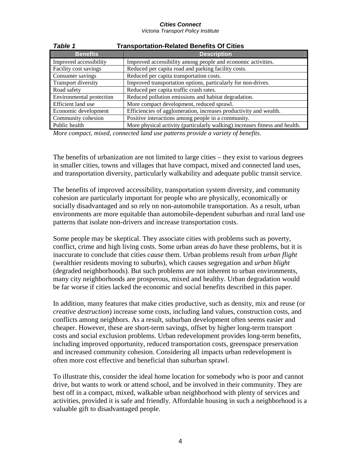*Victoria Transport Policy Institute* 

| <b>Table 1</b><br><b>Transportation-Related Benefits Of Cities</b> |                                                                             |  |
|--------------------------------------------------------------------|-----------------------------------------------------------------------------|--|
| <b>Benefits</b>                                                    | <b>Description</b>                                                          |  |
| Improved accessibility                                             | Improved accessibility among people and economic activities.                |  |
| Facility cost savings                                              | Reduced per capita road and parking facility costs.                         |  |
| Consumer savings                                                   | Reduced per capita transportation costs.                                    |  |
| <b>Transport diversity</b>                                         | Improved transportation options, particularly for non-drives.               |  |
| Road safety                                                        | Reduced per capita traffic crash rates.                                     |  |
| Environmental protection                                           | Reduced pollution emissions and habitat degradation.                        |  |
| Efficient land use                                                 | More compact development, reduced sprawl.                                   |  |
| Economic development                                               | Efficiencies of agglomeration, increases productivity and wealth.           |  |
| Community cohesion                                                 | Positive interactions among people in a community.                          |  |
| Public health                                                      | More physical activity (particularly walking) increases fitness and health. |  |

*More compact, mixed, connected land use patterns provide a variety of benefits.* 

The benefits of urbanization are not limited to large cities – they exist to various degrees in smaller cities, towns and villages that have compact, mixed and connected land uses, and transportation diversity, particularly walkability and adequate public transit service.

The benefits of improved accessibility, transportation system diversity, and community cohesion are particularly important for people who are physically, economically or socially disadvantaged and so rely on non-automobile transportation. As a result, urban environments are more equitable than automobile-dependent suburban and rural land use patterns that isolate non-drivers and increase transportation costs.

Some people may be skeptical. They associate cities with problems such as poverty, conflict, crime and high living costs. Some urban areas *do* have these problems, but it is inaccurate to conclude that cities *cause* them. Urban problems result from *urban flight* (wealthier residents moving to suburbs), which causes segregation and *urban blight* (degraded neighborhoods). But such problems are not inherent to urban environments, many city neighborhoods are prosperous, mixed and healthy. Urban degradation would be far worse if cities lacked the economic and social benefits described in this paper.

In addition, many features that make cities productive, such as density, mix and reuse (or *creative destruction*) increase some costs, including land values, construction costs, and conflicts among neighbors. As a result, suburban development often seems easier and cheaper. However, these are short-term savings, offset by higher long-term transport costs and social exclusion problems. Urban redevelopment provides long-term benefits, including improved opportunity, reduced transportation costs, greenspace preservation and increased community cohesion. Considering all impacts urban redevelopment is often more cost effective and beneficial than suburban sprawl.

To illustrate this, consider the ideal home location for somebody who is poor and cannot drive, but wants to work or attend school, and be involved in their community. They are best off in a compact, mixed, walkable urban neighborhood with plenty of services and activities, provided it is safe and friendly. Affordable housing in such a neighborhood is a valuable gift to disadvantaged people.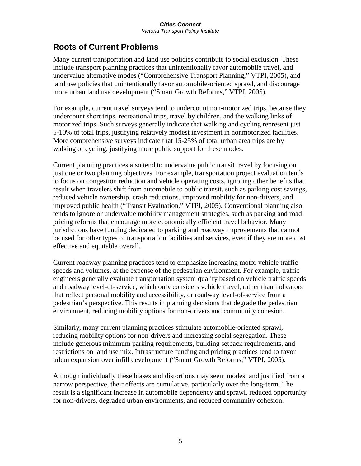# **Roots of Current Problems**

Many current transportation and land use policies contribute to social exclusion. These include transport planning practices that unintentionally favor automobile travel, and undervalue alternative modes ("Comprehensive Transport Planning," VTPI, 2005), and land use policies that unintentionally favor automobile-oriented sprawl, and discourage more urban land use development ("Smart Growth Reforms," VTPI, 2005).

For example, current travel surveys tend to undercount non-motorized trips, because they undercount short trips, recreational trips, travel by children, and the walking links of motorized trips. Such surveys generally indicate that walking and cycling represent just 5-10% of total trips, justifying relatively modest investment in nonmotorized facilities. More comprehensive surveys indicate that 15-25% of total urban area trips are by walking or cycling, justifying more public support for these modes.

Current planning practices also tend to undervalue public transit travel by focusing on just one or two planning objectives. For example, transportation project evaluation tends to focus on congestion reduction and vehicle operating costs, ignoring other benefits that result when travelers shift from automobile to public transit, such as parking cost savings, reduced vehicle ownership, crash reductions, improved mobility for non-drivers, and improved public health ("Transit Evaluation," VTPI, 2005). Conventional planning also tends to ignore or undervalue mobility management strategies, such as parking and road pricing reforms that encourage more economically efficient travel behavior. Many jurisdictions have funding dedicated to parking and roadway improvements that cannot be used for other types of transportation facilities and services, even if they are more cost effective and equitable overall.

Current roadway planning practices tend to emphasize increasing motor vehicle traffic speeds and volumes, at the expense of the pedestrian environment. For example, traffic engineers generally evaluate transportation system quality based on vehicle traffic speeds and roadway level-of-service, which only considers vehicle travel, rather than indicators that reflect personal mobility and accessibility, or roadway level-of-service from a pedestrian's perspective. This results in planning decisions that degrade the pedestrian environment, reducing mobility options for non-drivers and community cohesion.

Similarly, many current planning practices stimulate automobile-oriented sprawl, reducing mobility options for non-drivers and increasing social segregation. These include generous minimum parking requirements, building setback requirements, and restrictions on land use mix. Infrastructure funding and pricing practices tend to favor urban expansion over infill development ("Smart Growth Reforms," VTPI, 2005).

Although individually these biases and distortions may seem modest and justified from a narrow perspective, their effects are cumulative, particularly over the long-term. The result is a significant increase in automobile dependency and sprawl, reduced opportunity for non-drivers, degraded urban environments, and reduced community cohesion.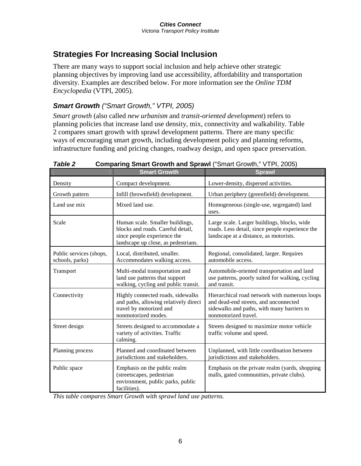# **Strategies For Increasing Social Inclusion**

There are many ways to support social inclusion and help achieve other strategic planning objectives by improving land use accessibility, affordability and transportation diversity. Examples are described below. For more information see the *Online TDM Encyclopedia* (VTPI, 2005).

## *Smart Growth ("Smart Growth," VTPI, 2005)*

*Smart growth* (also called *new urbanism* and *transit-oriented development*) refers to planning policies that increase land use density, mix, connectivity and walkability. Table 2 compares smart growth with sprawl development patterns. There are many specific ways of encouraging smart growth, including development policy and planning reforms, infrastructure funding and pricing changes, roadway design, and open space preservation.

|                                            | <b>Smart Growth</b>                                                                                                                        | <b>Sprawl</b>                                                                                                                                                |
|--------------------------------------------|--------------------------------------------------------------------------------------------------------------------------------------------|--------------------------------------------------------------------------------------------------------------------------------------------------------------|
| Density                                    | Compact development.                                                                                                                       | Lower-density, dispersed activities.                                                                                                                         |
| Growth pattern                             | Infill (brownfield) development.                                                                                                           | Urban periphery (greenfield) development.                                                                                                                    |
| Land use mix                               | Mixed land use.                                                                                                                            | Homogeneous (single-use, segregated) land<br>uses.                                                                                                           |
| Scale                                      | Human scale. Smaller buildings,<br>blocks and roads. Careful detail,<br>since people experience the<br>landscape up close, as pedestrians. | Large scale. Larger buildings, blocks, wide<br>roads. Less detail, since people experience the<br>landscape at a distance, as motorists.                     |
| Public services (shops,<br>schools, parks) | Local, distributed, smaller.<br>Accommodates walking access.                                                                               | Regional, consolidated, larger. Requires<br>automobile access.                                                                                               |
| Transport                                  | Multi-modal transportation and<br>land use patterns that support<br>walking, cycling and public transit.                                   | Automobile-oriented transportation and land<br>use patterns, poorly suited for walking, cycling<br>and transit.                                              |
| Connectivity                               | Highly connected roads, sidewalks<br>and paths, allowing relatively direct<br>travel by motorized and<br>nonmotorized modes.               | Hierarchical road network with numerous loops<br>and dead-end streets, and unconnected<br>sidewalks and paths, with many barriers to<br>nonmotorized travel. |
| Street design                              | Streets designed to accommodate a<br>variety of activities. Traffic<br>calming.                                                            | Streets designed to maximize motor vehicle<br>traffic volume and speed.                                                                                      |
| Planning process                           | Planned and coordinated between<br>jurisdictions and stakeholders.                                                                         | Unplanned, with little coordination between<br>jurisdictions and stakeholders.                                                                               |
| Public space                               | Emphasis on the public realm<br>(streetscapes, pedestrian<br>environment, public parks, public<br>facilities).                             | Emphasis on the private realm (yards, shopping<br>malls, gated communities, private clubs).                                                                  |

**Table 2 Comparing Smart Growth and Sprawl** ("Smart Growth," VTPI, 2005)

*This table compares Smart Growth with sprawl land use patterns.*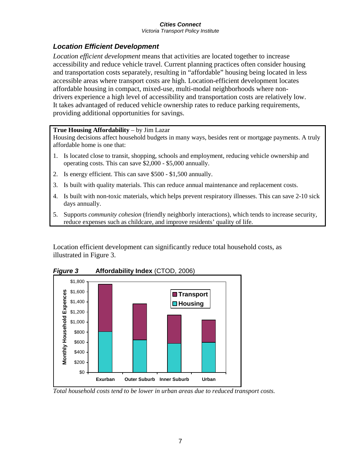*Victoria Transport Policy Institute* 

### *Location Efficient Development*

*Location efficient development* means that activities are located together to increase accessibility and reduce vehicle travel. Current planning practices often consider housing and transportation costs separately, resulting in "affordable" housing being located in less accessible areas where transport costs are high. Location-efficient development locates affordable housing in compact, mixed-use, multi-modal neighborhoods where nondrivers experience a high level of accessibility and transportation costs are relatively low. It takes advantaged of reduced vehicle ownership rates to reduce parking requirements, providing additional opportunities for savings.

#### **True Housing Affordability** – by Jim Lazar

Housing decisions affect household budgets in many ways, besides rent or mortgage payments. A truly affordable home is one that:

- 1. Is located close to transit, shopping, schools and employment, reducing vehicle ownership and operating costs. This can save \$2,000 - \$5,000 annually.
- 2. Is energy efficient. This can save \$500 \$1,500 annually.
- 3. Is built with quality materials. This can reduce annual maintenance and replacement costs.
- 4. Is built with non-toxic materials, which helps prevent respiratory illnesses. This can save 2-10 sick days annually.
- 5. Supports *community cohesion* (friendly neighborly interactions), which tends to increase security, reduce expenses such as childcare, and improve residents' quality of life.

Location efficient development can significantly reduce total household costs, as illustrated in Figure 3.



*Figure 3* **Affordability Index** (CTOD, 2006)

*Total household costs tend to be lower in urban areas due to reduced transport costs.*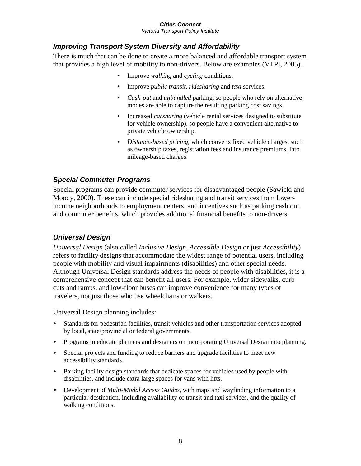*Victoria Transport Policy Institute* 

### *Improving Transport System Diversity and Affordability*

There is much that can be done to create a more balanced and affordable transport system that provides a high level of mobility to non-drivers. Below are examples (VTPI, 2005).

- Improve *walking* and *cycling* conditions.
- Improve *public transit*, *ridesharing* and *taxi* services.
- *Cash-out* and *unbundled* parking, so people who rely on alternative modes are able to capture the resulting parking cost savings.
- Increased *carsharing* (vehicle rental services designed to substitute for vehicle ownership), so people have a convenient alternative to private vehicle ownership.
- *Distance-based pricing*, which converts fixed vehicle charges, such as ownership taxes, registration fees and insurance premiums, into mileage-based charges.

### *Special Commuter Programs*

Special programs can provide commuter services for disadvantaged people (Sawicki and Moody, 2000). These can include special ridesharing and transit services from lowerincome neighborhoods to employment centers, and incentives such as parking cash out and commuter benefits, which provides additional financial benefits to non-drivers.

### *Universal Design*

*Universal Design* (also called *Inclusive Design*, *Accessible Design* or just *Accessibility*) refers to facility designs that accommodate the widest range of potential users, including people with mobility and visual impairments (disabilities) and other special needs. Although Universal Design standards address the needs of people with disabilities, it is a comprehensive concept that can benefit all users. For example, wider sidewalks, curb cuts and ramps, and low-floor buses can improve convenience for many types of travelers, not just those who use wheelchairs or walkers.

Universal Design planning includes:

- Standards for pedestrian facilities, transit vehicles and other transportation services adopted by local, state/provincial or federal governments.
- Programs to educate planners and designers on incorporating Universal Design into planning.
- Special projects and funding to reduce barriers and upgrade facilities to meet new accessibility standards.
- Parking facility design standards that dedicate spaces for vehicles used by people with disabilities, and include extra large spaces for vans with lifts.
- Development of *Multi-Modal Access Guides*, with maps and wayfinding information to a particular destination, including availability of transit and taxi services, and the quality of walking conditions.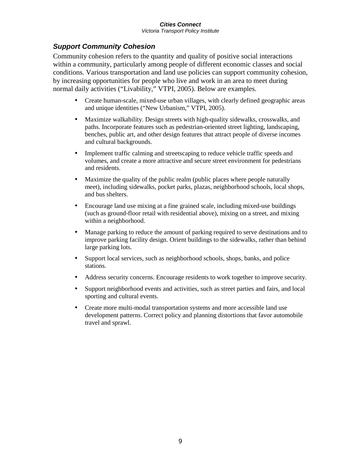*Victoria Transport Policy Institute* 

### *Support Community Cohesion*

Community cohesion refers to the quantity and quality of positive social interactions within a community, particularly among people of different economic classes and social conditions. Various transportation and land use policies can support community cohesion, by increasing opportunities for people who live and work in an area to meet during normal daily activities ("Livability," VTPI, 2005). Below are examples.

- Create human-scale, mixed-use urban villages, with clearly defined geographic areas and unique identities ("New Urbanism," VTPI, 2005).
- Maximize walkability. Design streets with high-quality sidewalks, crosswalks, and paths. Incorporate features such as pedestrian-oriented street lighting, landscaping, benches, public art, and other design features that attract people of diverse incomes and cultural backgrounds.
- Implement traffic calming and streetscaping to reduce vehicle traffic speeds and volumes, and create a more attractive and secure street environment for pedestrians and residents.
- Maximize the quality of the public realm (public places where people naturally meet), including sidewalks, pocket parks, plazas, neighborhood schools, local shops, and bus shelters.
- Encourage land use mixing at a fine grained scale, including mixed-use buildings (such as ground-floor retail with residential above), mixing on a street, and mixing within a neighborhood.
- Manage parking to reduce the amount of parking required to serve destinations and to improve parking facility design. Orient buildings to the sidewalks, rather than behind large parking lots.
- Support local services, such as neighborhood schools, shops, banks, and police stations.
- Address security concerns. Encourage residents to work together to improve security.
- Support neighborhood events and activities, such as street parties and fairs, and local sporting and cultural events.
- Create more multi-modal transportation systems and more accessible land use development patterns. Correct policy and planning distortions that favor automobile travel and sprawl.